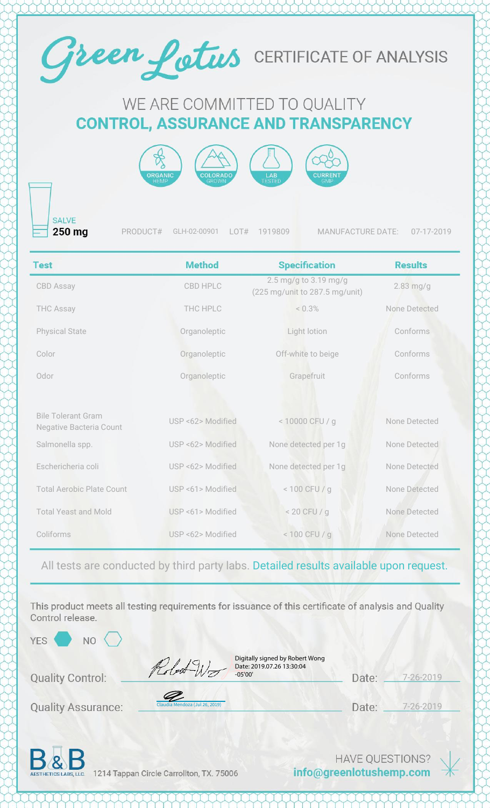

## WE ARE COMMITTED TO QUALITY **CONTROL, ASSURANCE AND TRANSPARENCY**



**SALVE** 250 mg

PRODUCT# GLH-02-00901 LOT# 1919809 MANUFACTURE DATE: 07-17-2019

| <b>Test</b>                                                 | <b>Method</b>     | <b>Specification</b>                                    | <b>Results</b> |
|-------------------------------------------------------------|-------------------|---------------------------------------------------------|----------------|
| <b>CBD Assay</b>                                            | CBD HPLC          | 2.5 mg/g to 3.19 mg/g<br>(225 mg/unit to 287.5 mg/unit) | $2.83$ mg/g    |
| <b>THC Assay</b>                                            | THC HPLC          | < 0.3%                                                  | None Detected  |
| <b>Physical State</b>                                       | Organoleptic      | Light lotion                                            | Conforms       |
| Color                                                       | Organoleptic      | Off-white to beige                                      | Conforms       |
| Odor                                                        | Organoleptic      | Grapefruit                                              | Conforms       |
|                                                             |                   |                                                         |                |
| <b>Bile Tolerant Gram</b><br><b>Negative Bacteria Count</b> | USP <62> Modified | < 10000 CFU / g                                         | None Detected  |
| Salmonella spp.                                             | USP <62> Modified | None detected per 1g                                    | None Detected  |
| Eschericheria coli                                          | USP <62> Modified | None detected per 1g                                    | None Detected  |
| <b>Total Aerobic Plate Count</b>                            | USP <61> Modified | $< 100$ CFU / g                                         | None Detected  |
| <b>Total Yeast and Mold</b>                                 | USP <61> Modified | $< 20$ CFU / g                                          | None Detected  |
| Coliforms                                                   | USP <62> Modified | $< 100$ CFU / g                                         | None Detected  |

All tests are conducted by third party labs. Detailed results available upon request.

This product meets all testing requirements for issuance of this certificate of analysis and Quality Control release.

 $NO<$ 

**Quality Control:** 

**Quality Assurance:** 

| Digitally signed by Robert Wong |  |
|---------------------------------|--|
| Date: 2019.07.26 13:30:04       |  |
| $-05'00'$                       |  |

| Date: | $7 - 26 - 2019$ |
|-------|-----------------|
|       |                 |

Date: 7-26-2019



1214 Tappan Circle Carrollton, TX. 75006

[Claudia Mendoza \(Jul 26, 2019\)](https://na2.documents.adobe.com/verifier?tx=CBJCHBCAABAA6WbvnLJr35lU7sKl-piYFWUdVrL1MOim)

Robert Wo

**HAVE QUESTIONS?** info@greenlotushemp.com